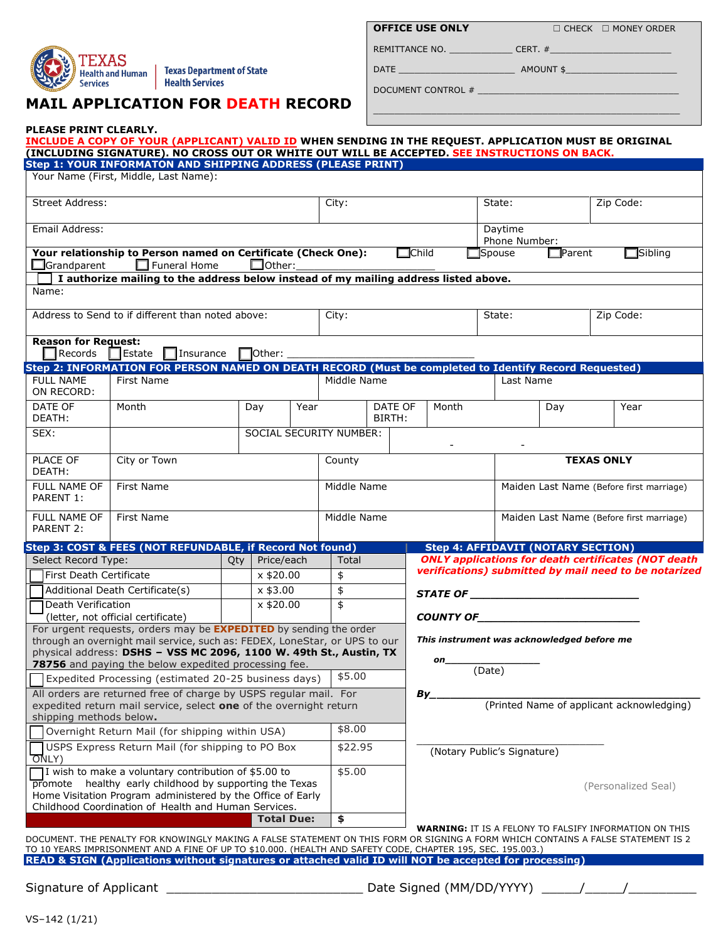

**PLEASE PRINT CLEARLY.** 

## **MAIL APPLICATION FOR DEATH RECORD**

| <b>DFFICE USE ONLY</b> |  |
|------------------------|--|
|------------------------|--|

**OFFICE USE ONLY □ CHECK □ MONEY ORDER** 

 $\_$  , and the set of the set of the set of the set of the set of the set of the set of the set of the set of the set of the set of the set of the set of the set of the set of the set of the set of the set of the set of th

REMITTANCE NO. \_\_\_\_\_\_\_\_\_\_\_\_ CERT. #\_\_\_\_\_\_\_\_\_\_\_\_\_\_\_\_\_\_\_\_\_\_\_ DATE \_\_\_\_\_\_\_\_\_\_\_\_\_\_\_\_\_\_\_\_\_\_ AMOUNT \$\_\_\_\_\_\_\_\_\_\_\_\_\_\_\_\_\_\_\_\_\_

DOCUMENT CONTROL #

|                                                                                                                | INCLUDE A COPY OF YOUR (APPLICANT) VALID ID WHEN SENDING IN THE REQUEST. APPLICATION MUST BE ORIGINAL<br>(INCLUDING SIGNATURE). NO CROSS OUT OR WHITE OUT WILL BE ACCEPTED. SEE INSTRUCTIONS ON BACK.                                            |             |               |      |                         |                                          |                                                               |  |                                                                                                               |                                            |           |                                                            |  |  |
|----------------------------------------------------------------------------------------------------------------|--------------------------------------------------------------------------------------------------------------------------------------------------------------------------------------------------------------------------------------------------|-------------|---------------|------|-------------------------|------------------------------------------|---------------------------------------------------------------|--|---------------------------------------------------------------------------------------------------------------|--------------------------------------------|-----------|------------------------------------------------------------|--|--|
|                                                                                                                | Step 1: YOUR INFORMATON AND SHIPPING ADDRESS (PLEASE PRINT)<br>Your Name (First, Middle, Last Name):                                                                                                                                             |             |               |      |                         |                                          |                                                               |  |                                                                                                               |                                            |           |                                                            |  |  |
| <b>Street Address:</b>                                                                                         |                                                                                                                                                                                                                                                  |             |               |      |                         | City:                                    |                                                               |  |                                                                                                               |                                            | Zip Code: |                                                            |  |  |
| Email Address:                                                                                                 |                                                                                                                                                                                                                                                  |             |               |      |                         |                                          |                                                               |  |                                                                                                               | Daytime                                    |           |                                                            |  |  |
| Your relationship to Person named on Certificate (Check One):                                                  |                                                                                                                                                                                                                                                  |             |               |      |                         |                                          | Phone Number:<br>$\square$ Spouse                             |  |                                                                                                               |                                            |           | $\Box$ Sibling                                             |  |  |
| $\Box$ Grandparent                                                                                             | $\Box$ Funeral Home                                                                                                                                                                                                                              |             | $\Box$ Other: |      |                         | $\Box$ Child                             |                                                               |  |                                                                                                               | $\Box$ Parent                              |           |                                                            |  |  |
|                                                                                                                | I authorize mailing to the address below instead of my mailing address listed above.                                                                                                                                                             |             |               |      |                         |                                          |                                                               |  |                                                                                                               |                                            |           |                                                            |  |  |
| Name:                                                                                                          |                                                                                                                                                                                                                                                  |             |               |      |                         |                                          |                                                               |  |                                                                                                               |                                            |           |                                                            |  |  |
|                                                                                                                | Address to Send to if different than noted above:                                                                                                                                                                                                |             |               |      |                         | City:                                    |                                                               |  |                                                                                                               |                                            | Zip Code: |                                                            |  |  |
|                                                                                                                |                                                                                                                                                                                                                                                  |             |               |      |                         |                                          |                                                               |  |                                                                                                               |                                            |           |                                                            |  |  |
| <b>Reason for Request:</b>                                                                                     | Records <b>Estate</b> Insurance <b>Pother:</b>                                                                                                                                                                                                   |             |               |      |                         |                                          |                                                               |  |                                                                                                               |                                            |           |                                                            |  |  |
|                                                                                                                | Step 2: INFORMATION FOR PERSON NAMED ON DEATH RECORD (Must be completed to Identify Record Requested)                                                                                                                                            |             |               |      |                         |                                          |                                                               |  |                                                                                                               |                                            |           |                                                            |  |  |
| <b>FULL NAME</b><br>ON RECORD:                                                                                 | First Name                                                                                                                                                                                                                                       |             |               |      | Middle Name             |                                          |                                                               |  | Last Name                                                                                                     |                                            |           |                                                            |  |  |
| DATE OF<br>DEATH:                                                                                              | Month                                                                                                                                                                                                                                            |             | Day           | Year |                         | DATE OF<br>BIRTH:                        | Month                                                         |  |                                                                                                               | Day                                        |           | Year                                                       |  |  |
| SEX:                                                                                                           |                                                                                                                                                                                                                                                  |             |               |      | SOCIAL SECURITY NUMBER: |                                          |                                                               |  |                                                                                                               |                                            |           |                                                            |  |  |
|                                                                                                                |                                                                                                                                                                                                                                                  |             |               |      |                         |                                          |                                                               |  |                                                                                                               |                                            |           |                                                            |  |  |
| PLACE OF<br>DEATH:                                                                                             | City or Town                                                                                                                                                                                                                                     | County      |               |      |                         | <b>TEXAS ONLY</b>                        |                                                               |  |                                                                                                               |                                            |           |                                                            |  |  |
| <b>FULL NAME OF</b><br>PARENT 1:                                                                               | <b>First Name</b>                                                                                                                                                                                                                                | Middle Name |               |      |                         | Maiden Last Name (Before first marriage) |                                                               |  |                                                                                                               |                                            |           |                                                            |  |  |
| <b>FULL NAME OF</b><br>PARENT 2:                                                                               | <b>First Name</b>                                                                                                                                                                                                                                |             |               |      |                         | Middle Name                              |                                                               |  |                                                                                                               | Maiden Last Name (Before first marriage)   |           |                                                            |  |  |
|                                                                                                                | Step 3: COST & FEES (NOT REFUNDABLE, if Record Not found)                                                                                                                                                                                        |             |               |      |                         |                                          |                                                               |  |                                                                                                               | <b>Step 4: AFFIDAVIT (NOTARY SECTION)</b>  |           |                                                            |  |  |
| Select Record Type:                                                                                            |                                                                                                                                                                                                                                                  | Qty         | Price/each    |      | Total                   |                                          |                                                               |  |                                                                                                               |                                            |           | <b>ONLY applications for death certificates (NOT death</b> |  |  |
| First Death Certificate                                                                                        |                                                                                                                                                                                                                                                  |             | $x$ \$20.00   |      | \$                      |                                          | verifications) submitted by mail need to be notarized         |  |                                                                                                               |                                            |           |                                                            |  |  |
| Additional Death Certificate(s)                                                                                |                                                                                                                                                                                                                                                  | x \$3.00    |               | \$   |                         |                                          |                                                               |  | STATE OF THE STATE OF THE STATE OF THE STATE OF THE STATE OF THE STATE OF THE STATE OF THE STATE OF THE STATE |                                            |           |                                                            |  |  |
| Death Verification                                                                                             |                                                                                                                                                                                                                                                  |             | x \$20.00     |      | \$                      |                                          | COUNTY OF                                                     |  |                                                                                                               |                                            |           |                                                            |  |  |
| (letter, not official certificate)<br>For urgent requests, orders may be <b>EXPEDITED</b> by sending the order |                                                                                                                                                                                                                                                  |             |               |      |                         |                                          |                                                               |  |                                                                                                               |                                            |           |                                                            |  |  |
|                                                                                                                | through an overnight mail service, such as: FEDEX, LoneStar, or UPS to our                                                                                                                                                                       |             |               |      |                         |                                          |                                                               |  |                                                                                                               | This instrument was acknowledged before me |           |                                                            |  |  |
|                                                                                                                | physical address: DSHS - VSS MC 2096, 1100 W. 49th St., Austin, TX                                                                                                                                                                               |             |               |      |                         |                                          | on                                                            |  |                                                                                                               |                                            |           |                                                            |  |  |
| 78756 and paying the below expedited processing fee.<br>Expedited Processing (estimated 20-25 business days)   |                                                                                                                                                                                                                                                  |             |               |      | \$5.00                  | (Date)                                   |                                                               |  |                                                                                                               |                                            |           |                                                            |  |  |
|                                                                                                                | All orders are returned free of charge by USPS regular mail. For                                                                                                                                                                                 |             |               |      |                         |                                          | By_                                                           |  |                                                                                                               |                                            |           |                                                            |  |  |
|                                                                                                                | expedited return mail service, select one of the overnight return                                                                                                                                                                                |             |               |      |                         |                                          |                                                               |  |                                                                                                               |                                            |           | (Printed Name of applicant acknowledging)                  |  |  |
| shipping methods below.                                                                                        |                                                                                                                                                                                                                                                  |             |               |      | \$8.00                  |                                          |                                                               |  |                                                                                                               |                                            |           |                                                            |  |  |
| Overnight Return Mail (for shipping within USA)<br>USPS Express Return Mail (for shipping to PO Box            |                                                                                                                                                                                                                                                  |             |               |      | \$22.95                 |                                          |                                                               |  |                                                                                                               |                                            |           |                                                            |  |  |
| ONLY)                                                                                                          |                                                                                                                                                                                                                                                  |             |               |      |                         |                                          |                                                               |  | (Notary Public's Signature)                                                                                   |                                            |           |                                                            |  |  |
|                                                                                                                | I wish to make a voluntary contribution of \$5.00 to                                                                                                                                                                                             |             |               |      | \$5.00                  |                                          |                                                               |  |                                                                                                               |                                            |           |                                                            |  |  |
|                                                                                                                | promote healthy early childhood by supporting the Texas<br>Home Visitation Program administered by the Office of Early                                                                                                                           |             |               |      |                         |                                          |                                                               |  |                                                                                                               |                                            |           | (Personalized Seal)                                        |  |  |
|                                                                                                                | Childhood Coordination of Health and Human Services.                                                                                                                                                                                             |             |               |      |                         |                                          |                                                               |  |                                                                                                               |                                            |           |                                                            |  |  |
| <b>Total Due:</b>                                                                                              |                                                                                                                                                                                                                                                  |             |               |      |                         |                                          | <b>WARNING: IT IS A FELONY TO FALSIFY INFORMATION ON THIS</b> |  |                                                                                                               |                                            |           |                                                            |  |  |
|                                                                                                                | DOCUMENT. THE PENALTY FOR KNOWINGLY MAKING A FALSE STATEMENT ON THIS FORM OR SIGNING A FORM WHICH CONTAINS A FALSE STATEMENT IS 2<br>TO 10 YEARS IMPRISONMENT AND A FINE OF UP TO \$10.000. (HEALTH AND SAFETY CODE, CHAPTER 195, SEC. 195.003.) |             |               |      |                         |                                          |                                                               |  |                                                                                                               |                                            |           |                                                            |  |  |
|                                                                                                                | READ & SIGN (Applications without signatures or attached valid ID will NOT be accepted for processing)                                                                                                                                           |             |               |      |                         |                                          |                                                               |  |                                                                                                               |                                            |           |                                                            |  |  |
| Signature of Applicant                                                                                         |                                                                                                                                                                                                                                                  |             |               |      |                         | Date Signed (MM/DD/YYYY)                 |                                                               |  |                                                                                                               |                                            |           |                                                            |  |  |